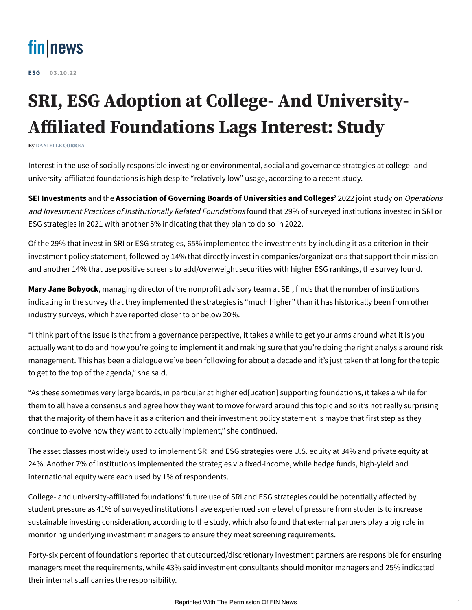

**[ESG](https://www.fin-news.com/category/esg/) 03.10.22**

## **SRI, ESG Adoption at College- And University-Affiliated Foundations Lags Interest: Study**

**By [DANIELLE CORREA](https://www.fin-news.com/author/daniellefin-news-com/)**

Interest in the use of socially responsible investing or environmental, social and governance strategies at college- and university-affiliated foundations is high despite "relatively low" usage, according to a recent study.

**SEI Investments** and the **Association of Governing Boards of Universities and Colleges'** 2022 joint study on Operations and Investment Practices of Institutionally Related Foundations found that 29% of surveyed institutions invested in SRI or ESG strategies in 2021 with another 5% indicating that they plan to do so in 2022.

Of the 29% that invest in SRI or ESG strategies, 65% implemented the investments by including it as a criterion in their investment policy statement, followed by 14% that directly invest in companies/organizations that support their mission and another 14% that use positive screens to add/overweight securities with higher ESG rankings, the survey found.

**Mary Jane Bobyock**, managing director of the nonprofit advisory team at SEI, finds that the number of institutions indicating in the survey that they implemented the strategies is "much higher" than it has historically been from other industry surveys, which have reported closer to or below 20%.

"I think part of the issue is that from a governance perspective, it takes a while to get your arms around what it is you actually want to do and how you're going to implement it and making sure that you're doing the right analysis around risk management. This has been a dialogue we've been following for about a decade and it's just taken that long for the topic to get to the top of the agenda," she said.

"As these sometimes very large boards, in particular at higher ed[ucation] supporting foundations, it takes a while for them to all have a consensus and agree how they want to move forward around this topic and so it's not really surprising that the majority of them have it as a criterion and their investment policy statement is maybe that first step as they continue to evolve how they want to actually implement," she continued.

The asset classes most widely used to implement SRI and ESG strategies were U.S. equity at 34% and private equity at 24%. Another 7% of institutions implemented the strategies via fixed-income, while hedge funds, high-yield and international equity were each used by 1% of respondents.

College- and university-affiliated foundations' future use of SRI and ESG strategies could be potentially affected by student pressure as 41% of surveyed institutions have experienced some level of pressure from students to increase sustainable investing consideration, according to the study, which also found that external partners play a big role in monitoring underlying investment managers to ensure they meet screening requirements.

Forty-six percent of foundations reported that outsourced/discretionary investment partners are responsible for ensuring managers meet the requirements, while 43% said investment consultants should monitor managers and 25% indicated their internal staff carries the responsibility.